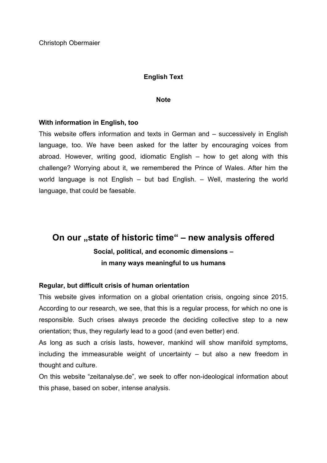## **English Text**

#### **Note**

## **With information in English, too**

This website offers information and texts in German and – successively in English language, too. We have been asked for the latter by encouraging voices from abroad. However, writing good, idiomatic English – how to get along with this challenge? Worrying about it, we remembered the Prince of Wales. After him the world language is not English – but bad English. – Well, mastering the world language, that could be faesable.

# **On our "state of historic time" – new analysis offered Social, political, and economic dimensions – in many ways meaningful to us humans**

## **Regular, but difficult crisis of human orientation**

This website gives information on a global orientation crisis, ongoing since 2015. According to our research, we see, that this is a regular process, for which no one is responsible. Such crises always precede the deciding collective step to a new orientation; thus, they regularly lead to a good (and even better) end.

As long as such a crisis lasts, however, mankind will show manifold symptoms, including the immeasurable weight of uncertainty – but also a new freedom in thought and culture.

On this website "zeitanalyse.de", we seek to offer non-ideological information about this phase, based on sober, intense analysis.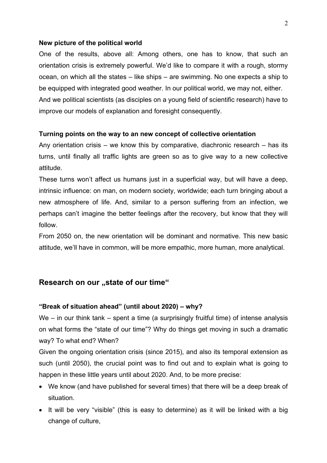#### **New picture of the political world**

One of the results, above all: Among others, one has to know, that such an orientation crisis is extremely powerful. We'd like to compare it with a rough, stormy ocean, on which all the states – like ships – are swimming. No one expects a ship to be equipped with integrated good weather. In our political world, we may not, either. And we political scientists (as disciples on a young field of scientific research) have to improve our models of explanation and foresight consequently.

#### **Turning points on the way to an new concept of collective orientation**

Any orientation crisis – we know this by comparative, diachronic research – has its turns, until finally all traffic lights are green so as to give way to a new collective attitude.

These turns won't affect us humans just in a superficial way, but will have a deep, intrinsic influence: on man, on modern society, worldwide; each turn bringing about a new atmosphere of life. And, similar to a person suffering from an infection, we perhaps can't imagine the better feelings after the recovery, but know that they will follow.

From 2050 on, the new orientation will be dominant and normative. This new basic attitude, we'll have in common, will be more empathic, more human, more analytical.

## **Research on our "state of our time"**

## **"Break of situation ahead" (until about 2020) – why?**

We – in our think tank – spent a time (a surprisingly fruitful time) of intense analysis on what forms the "state of our time"? Why do things get moving in such a dramatic way? To what end? When?

Given the ongoing orientation crisis (since 2015), and also its temporal extension as such (until 2050), the crucial point was to find out and to explain what is going to happen in these little years until about 2020. And, to be more precise:

- We know (and have published for several times) that there will be a deep break of situation.
- It will be very "visible" (this is easy to determine) as it will be linked with a big change of culture,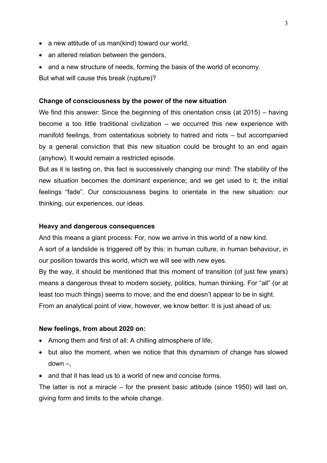- a new attitude of us man(kind) toward our world,
- an altered relation between the genders,
- and a new structure of needs, forming the basis of the world of economy.

But what will cause this break (rupture)?

## **Change of consciousness by the power of the new situation**

We find this answer: Since the beginning of this orientation crisis (at 2015) – having become a too little traditional civilization – we occurred this new experience with manifold feelings, from ostentatious sobriety to hatred and riots – but accompanied by a general conviction that this new situation could be brought to an end again (anyhow). It would remain a restricted episode.

But as it is lasting on, this fact is successively changing our mind: The stability of the new situation becomes the dominant experience; and we get used to it; the initial feelings "fade". Our consciousness begins to orientate in the new situation: our thinking, our experiences, our ideas.

## **Heavy and dangerous consequences**

And this means a giant process: For, now we arrive in this world of a new kind.

A sort of a landslide is triggered off by this: in human culture, in human behaviour, in our position towards this world, which we will see with new eyes.

By the way, it should be mentioned that this moment of transition (of just few years) means a dangerous threat to modern society, politics, human thinking. For "all" (or at least too much things) seems to move; and the end doesn't appear to be in sight. From an analytical point of view, however, we know better: It is just ahead of us:

#### **New feelings, from about 2020 on:**

- Among them and first of all: A chilling atmosphere of life,
- but also the moment, when we notice that this dynamism of change has slowed  $down$  –.
- and that it has lead us to a world of new and concise forms.

The latter is not a miracle – for the present basic attitude (since 1950) will last on, giving form and limits to the whole change.